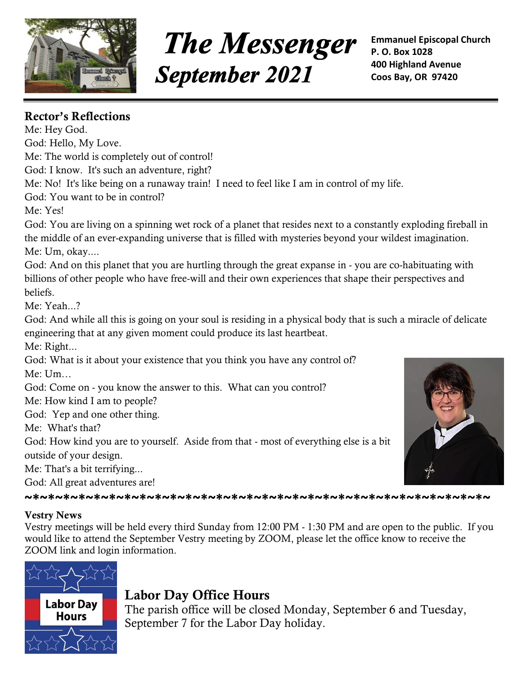

# **The Messenger September 2021**

**Emmanuel Episcopal Church P. O. Box 1028 400 Highland Avenue Coos Bay, OR 97420**

## **Rector's Reflections**

Me: Hey God. God: Hello, My Love. Me: The world is completely out of control! God: I know. It's such an adventure, right? Me: No! It's like being on a runaway train! I need to feel like I am in control of my life. God: You want to be in control? Me: Yes! God: You are living on a spinning wet rock of a planet that resides next to a constantly exploding fireball in the middle of an ever-expanding universe that is filled with mysteries beyond your wildest imagination. Me: Um, okay.... God: And on this planet that you are hurtling through the great expanse in - you are co-habituating with billions of other people who have free-will and their own experiences that shape their perspectives and beliefs. Me: Yeah...? God: And while all this is going on your soul is residing in a physical body that is such a miracle of delicate engineering that at any given moment could produce its last heartbeat. Me: Right... God: What is it about your existence that you think you have any control of? Me: Um… God: Come on - you know the answer to this. What can you control? Me: How kind I am to people? God: Yep and one other thing. Me: What's that? God: How kind you are to yourself. Aside from that - most of everything else is a bit outside of your design. Me: That's a bit terrifying... God: All great adventures are! **~\*~\*~\*~\*~\*~\*~\*~\*~\*~\*~\*~\*~\*~\*~\*~\*~\*~\*~\*~\*~\*~\*~\*~\*~\*~\*~\*~\*~\*~\*~ Vestry News** Vestry meetings will be held every third Sunday from 12:00 PM - 1:30 PM and are open to the public. If you would like to attend the September Vestry meeting by ZOOM, please let the office know to receive the



# **Labor Day Office Hours**

The parish office will be closed Monday, September 6 and Tuesday, September 7 for the Labor Day holiday.

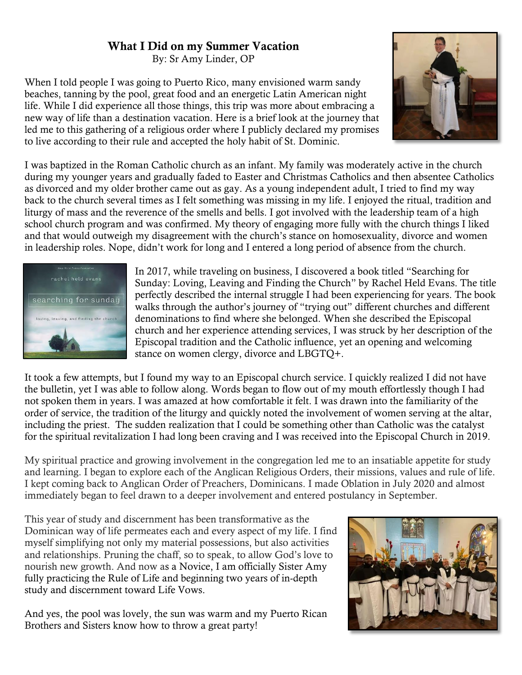#### **What I Did on my Summer Vacation**

By: Sr Amy Linder, OP

When I told people I was going to Puerto Rico, many envisioned warm sandy beaches, tanning by the pool, great food and an energetic Latin American night life. While I did experience all those things, this trip was more about embracing a new way of life than a destination vacation. Here is a brief look at the journey that led me to this gathering of a religious order where I publicly declared my promises to live according to their rule and accepted the holy habit of St. Dominic.



I was baptized in the Roman Catholic church as an infant. My family was moderately active in the church during my younger years and gradually faded to Easter and Christmas Catholics and then absentee Catholics as divorced and my older brother came out as gay. As a young independent adult, I tried to find my way back to the church several times as I felt something was missing in my life. I enjoyed the ritual, tradition and liturgy of mass and the reverence of the smells and bells. I got involved with the leadership team of a high school church program and was confirmed. My theory of engaging more fully with the church things I liked and that would outweigh my disagreement with the church's stance on homosexuality, divorce and women in leadership roles. Nope, didn't work for long and I entered a long period of absence from the church.



In 2017, while traveling on business, I discovered a book titled "Searching for Sunday: Loving, Leaving and Finding the Church" by Rachel Held Evans. The title perfectly described the internal struggle I had been experiencing for years. The book walks through the author's journey of "trying out" different churches and different denominations to find where she belonged. When she described the Episcopal church and her experience attending services, I was struck by her description of the Episcopal tradition and the Catholic influence, yet an opening and welcoming stance on women clergy, divorce and LBGTQ+.

It took a few attempts, but I found my way to an Episcopal church service. I quickly realized I did not have the bulletin, yet I was able to follow along. Words began to flow out of my mouth effortlessly though I had not spoken them in years. I was amazed at how comfortable it felt. I was drawn into the familiarity of the order of service, the tradition of the liturgy and quickly noted the involvement of women serving at the altar, including the priest. The sudden realization that I could be something other than Catholic was the catalyst for the spiritual revitalization I had long been craving and I was received into the Episcopal Church in 2019.

My spiritual practice and growing involvement in the congregation led me to an insatiable appetite for study and learning. I began to explore each of the Anglican Religious Orders, their missions, values and rule of life. I kept coming back to Anglican Order of Preachers, Dominicans. I made Oblation in July 2020 and almost immediately began to feel drawn to a deeper involvement and entered postulancy in September.

This year of study and discernment has been transformative as the Dominican way of life permeates each and every aspect of my life. I find myself simplifying not only my material possessions, but also activities and relationships. Pruning the chaff, so to speak, to allow God's love to nourish new growth. And now as a Novice, I am officially Sister Amy fully practicing the Rule of Life and beginning two years of in-depth study and discernment toward Life Vows.

And yes, the pool was lovely, the sun was warm and my Puerto Rican Brothers and Sisters know how to throw a great party!

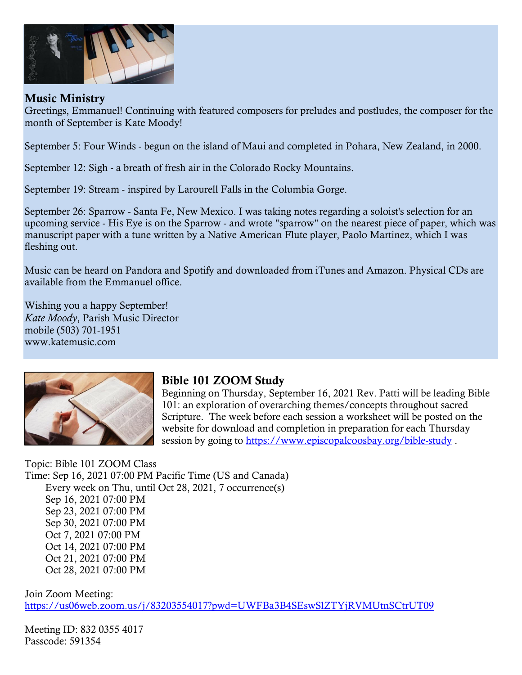

#### **Music Ministry**

Greetings, Emmanuel! Continuing with featured composers for preludes and postludes, the composer for the month of September is Kate Moody!

September 5: Four Winds - begun on the island of Maui and completed in Pohara, New Zealand, in 2000.

September 12: Sigh - a breath of fresh air in the Colorado Rocky Mountains.

September 19: Stream - inspired by Larourell Falls in the Columbia Gorge.

September 26: Sparrow - Santa Fe, New Mexico. I was taking notes regarding a soloist's selection for an upcoming service - His Eye is on the Sparrow - and wrote "sparrow" on the nearest piece of paper, which was manuscript paper with a tune written by a Native American Flute player, Paolo Martinez, which I was fleshing out.

Music can be heard on Pandora and Spotify and downloaded from iTunes and Amazon. Physical CDs are available from the Emmanuel office.

Wishing you a happy September! *Kate Moody*, Parish Music Director mobile (503) 701-1951 [www.katemusic.com](http://www.katemusic.com/)



#### **Bible 101 ZOOM Study**

Beginning on Thursday, September 16, 2021 Rev. Patti will be leading Bible 101: an exploration of overarching themes/concepts throughout sacred Scripture. The week before each session a worksheet will be posted on the website for download and completion in preparation for each Thursday session by going to<https://www.episcopalcoosbay.org/bible-study>.

Topic: Bible 101 ZOOM Class Time: Sep 16, 2021 07:00 PM Pacific Time (US and Canada) Every week on Thu, until Oct 28, 2021, 7 occurrence(s) Sep 16, 2021 07:00 PM Sep 23, 2021 07:00 PM Sep 30, 2021 07:00 PM Oct 7, 2021 07:00 PM Oct 14, 2021 07:00 PM Oct 21, 2021 07:00 PM Oct 28, 2021 07:00 PM

Join Zoom Meeting: <https://us06web.zoom.us/j/83203554017?pwd=UWFBa3B4SEswSlZTYjRVMUtnSCtrUT09>

Meeting ID: 832 0355 4017 Passcode: 591354